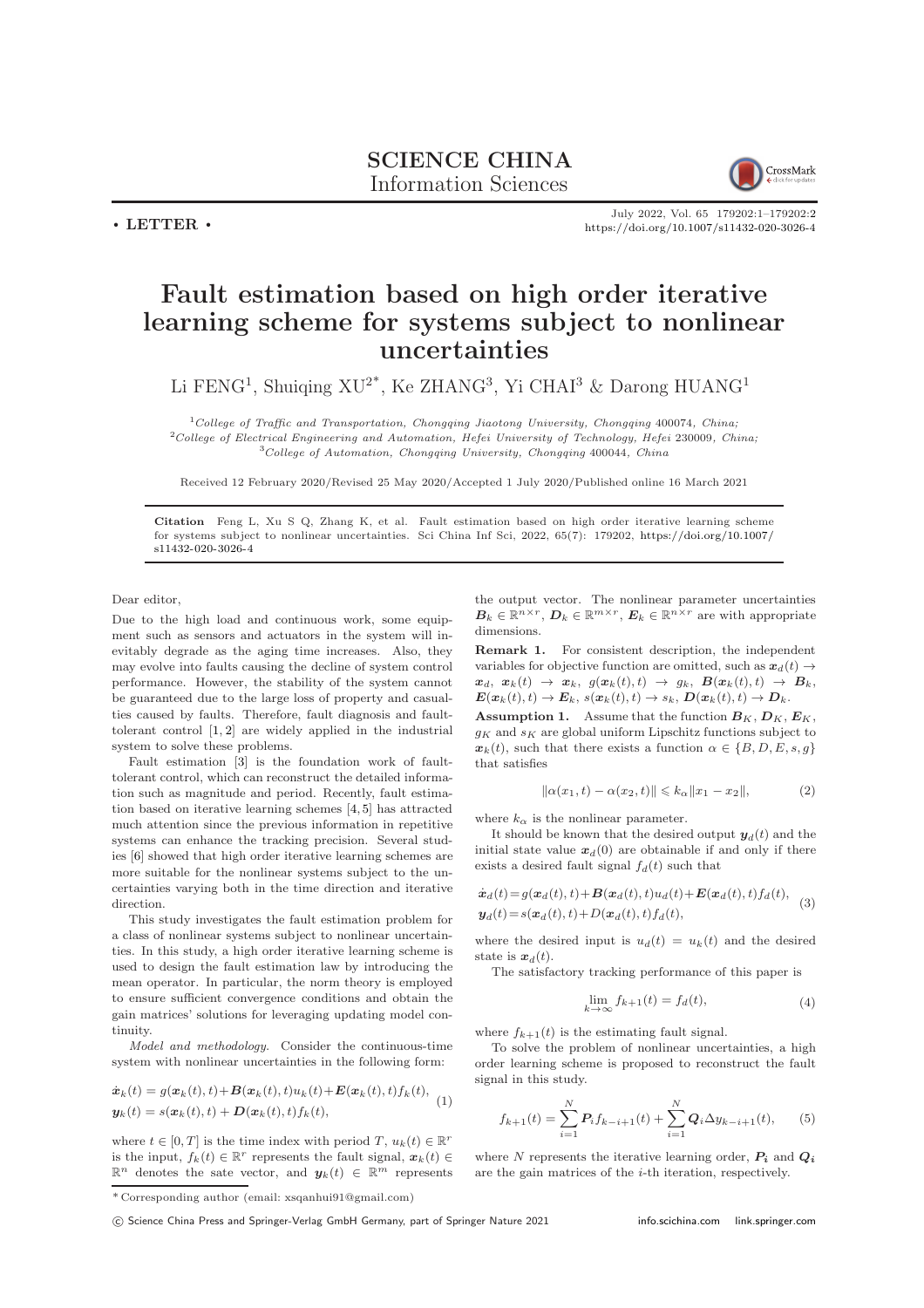

July 2022, Vol. 65 179202:1–179202[:2](#page-1-0) <https://doi.org/10.1007/s11432-020-3026-4>

## Fault estimation based on high order iterative learning scheme for systems subject to nonlinear uncertainties

Li FENG<sup>1</sup>, Shuiqing XU<sup>2\*</sup>, Ke ZHANG<sup>3</sup>, Yi CHAI<sup>3</sup> & Darong HUANG<sup>1</sup>

 $1$ College of Traffic and Transportation, Chongqing Jiaotong University, Chongqing 400074, China; <sup>2</sup>College of Electrical Engineering and Automation, Hefei University of Technology, Hefei 230009, China;  $3$ College of Automation, Chongqing University, Chongqing 400044, China

Received 12 February 2020/Revised 25 May 2020/Accepted 1 July 2020/Published online 16 March 2021

Citation Feng L, Xu S Q, Zhang K, et al. Fault estimation based on high order iterative learning scheme for systems subject to nonlinear uncertainties. Sci China Inf Sci, 2022, 65(7): 179202, [https://doi.org/10.1007/](https://doi.org/10.1007/s11432-020-3026-4) [s11432-020-3026-4](https://doi.org/10.1007/s11432-020-3026-4)

Dear editor

 $\cdot$  LETTER  $\cdot$ 

Due to the high load and continuous work, some equipment such as sensors and actuators in the system will inevitably degrade as the aging time increases. Also, they may evolve into faults causing the decline of system control performance. However, the stability of the system cannot be guaranteed due to the large loss of property and casualties caused by faults. Therefore, fault diagnosis and faulttolerant control [\[1,](#page-1-1) [2\]](#page-1-2) are widely applied in the industrial system to solve these problems.

Fault estimation [\[3\]](#page-1-3) is the foundation work of faulttolerant control, which can reconstruct the detailed information such as magnitude and period. Recently, fault estimation based on iterative learning schemes [\[4,](#page-1-4) [5\]](#page-1-5) has attracted much attention since the previous information in repetitive systems can enhance the tracking precision. Several studies [\[6\]](#page-1-6) showed that high order iterative learning schemes are more suitable for the nonlinear systems subject to the uncertainties varying both in the time direction and iterative direction.

This study investigates the fault estimation problem for a class of nonlinear systems subject to nonlinear uncertainties. In this study, a high order iterative learning scheme is used to design the fault estimation law by introducing the mean operator. In particular, the norm theory is employed to ensure sufficient convergence conditions and obtain the gain matrices' solutions for leveraging updating model continuity.

Model and methodology. Consider the continuous-time system with nonlinear uncertainties in the following form:

<span id="page-0-0"></span>
$$
\dot{\boldsymbol{x}}_k(t) = g(\boldsymbol{x}_k(t), t) + \boldsymbol{B}(\boldsymbol{x}_k(t), t)u_k(t) + \boldsymbol{E}(\boldsymbol{x}_k(t), t)f_k(t),
$$
  

$$
\boldsymbol{y}_k(t) = s(\boldsymbol{x}_k(t), t) + \boldsymbol{D}(\boldsymbol{x}_k(t), t)f_k(t),
$$
 (1)

where  $t \in [0, T]$  is the time index with period T,  $u_k(t) \in \mathbb{R}^r$ is the input,  $f_k(t) \in \mathbb{R}^r$  represents the fault signal,  $\mathbf{x}_k(t) \in$  $\mathbb{R}^n$  denotes the sate vector, and  $y_k(t) \in \mathbb{R}^m$  represents the output vector. The nonlinear parameter uncertainties  $B_k \in \mathbb{R}^{n \times r}$ ,  $D_k \in \mathbb{R}^{m \times r}$ ,  $E_k \in \mathbb{R}^{n \times r}$  are with appropriate dimensions.

Remark 1. For consistent description, the independent variables for objective function are omitted, such as  $x_d(t) \rightarrow$  $x_d, x_k(t) \rightarrow x_k, g(x_k(t), t) \rightarrow g_k, B(x_k(t), t) \rightarrow B_k,$  $\label{eq:ex} \pmb{E}(\pmb{x}_k(t), t) \rightarrow \pmb{E}_k, \, s(\pmb{x}_k(t), t) \rightarrow s_k, \, \pmb{D}(\pmb{x}_k(t), t) \rightarrow \pmb{D}_k.$ 

**Assumption 1.** Assume that the function  $B_K$ ,  $D_K$ ,  $E_K$ ,  $g_K$  and  $s_K$  are global uniform Lipschitz functions subject to  $\mathbf{x}_k(t)$ , such that there exists a function  $\alpha \in \{B, D, E, s, g\}$ that satisfies

$$
\|\alpha(x_1, t) - \alpha(x_2, t)\| \le k_\alpha \|x_1 - x_2\|,
$$
 (2)

where  $k_{\alpha}$  is the nonlinear parameter.

It should be known that the desired output  $y_d(t)$  and the initial state value  $x_d(0)$  are obtainable if and only if there exists a desired fault signal  $f_d(t)$  such that

$$
\dot{\boldsymbol{x}}_d(t) = g(\boldsymbol{x}_d(t), t) + \boldsymbol{B}(\boldsymbol{x}_d(t), t)u_d(t) + \boldsymbol{E}(\boldsymbol{x}_d(t), t)f_d(t),
$$
  
\n
$$
\boldsymbol{y}_d(t) = s(\boldsymbol{x}_d(t), t) + D(\boldsymbol{x}_d(t), t)f_d(t),
$$
\n(3)

where the desired input is  $u_d(t) = u_k(t)$  and the desired state is  $x_d(t)$ .

The satisfactory tracking performance of this paper is

$$
\lim_{k \to \infty} f_{k+1}(t) = f_d(t),\tag{4}
$$

where  $f_{k+1}(t)$  is the estimating fault signal.

To solve the problem of nonlinear uncertainties, a high order learning scheme is proposed to reconstruct the fault signal in this study.

<span id="page-0-1"></span>
$$
f_{k+1}(t) = \sum_{i=1}^{N} P_i f_{k-i+1}(t) + \sum_{i=1}^{N} Q_i \Delta y_{k-i+1}(t), \qquad (5)
$$

where N represents the iterative learning order,  $P_i$  and  $Q_i$ are the gain matrices of the i-th iteration, respectively.

c Science China Press and Springer-Verlag GmbH Germany, part of Springer Nature 2021 <info.scichina.com><link.springer.com>

<sup>\*</sup> Corresponding author (email: xsqanhui91@gmail.com)